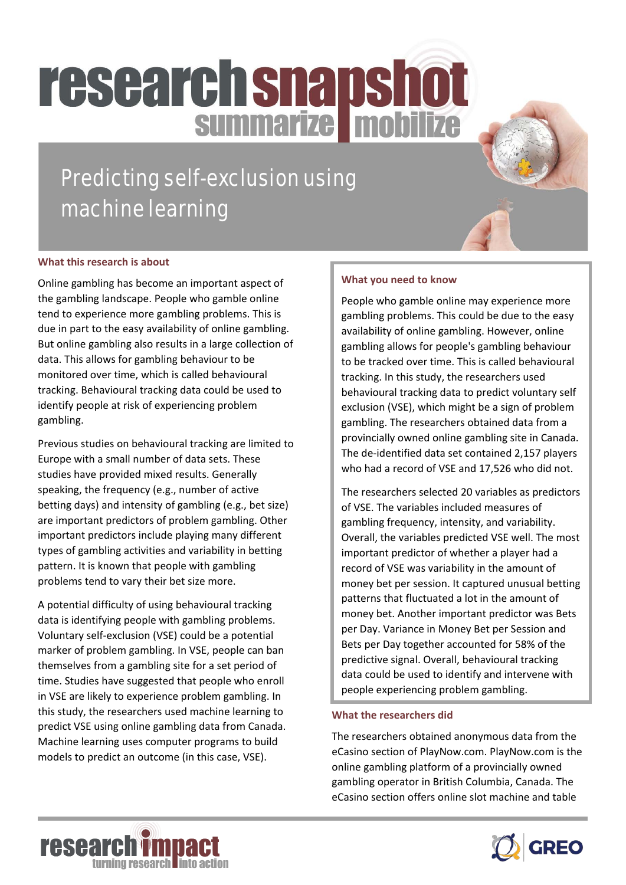# **research snapshot**

### Predicting self-exclusion using machine learning

#### **What this research is about**

Online gambling has become an important aspect of the gambling landscape. People who gamble online tend to experience more gambling problems. This is due in part to the easy availability of online gambling. But online gambling also results in a large collection of data. This allows for gambling behaviour to be monitored over time, which is called behavioural tracking. Behavioural tracking data could be used to identify people at risk of experiencing problem gambling.

Previous studies on behavioural tracking are limited to Europe with a small number of data sets. These studies have provided mixed results. Generally speaking, the frequency (e.g., number of active betting days) and intensity of gambling (e.g., bet size) are important predictors of problem gambling. Other important predictors include playing many different types of gambling activities and variability in betting pattern. It is known that people with gambling problems tend to vary their bet size more.

A potential difficulty of using behavioural tracking data is identifying people with gambling problems. Voluntary self-exclusion (VSE) could be a potential marker of problem gambling. In VSE, people can ban themselves from a gambling site for a set period of time. Studies have suggested that people who enroll in VSE are likely to experience problem gambling. In this study, the researchers used machine learning to predict VSE using online gambling data from Canada. Machine learning uses computer programs to build models to predict an outcome (in this case, VSE).

#### **What you need to know**

People who gamble online may experience more gambling problems. This could be due to the easy availability of online gambling. However, online gambling allows for people's gambling behaviour to be tracked over time. This is called behavioural tracking. In this study, the researchers used behavioural tracking data to predict voluntary self exclusion (VSE), which might be a sign of problem gambling. The researchers obtained data from a provincially owned online gambling site in Canada. The de-identified data set contained 2,157 players who had a record of VSE and 17,526 who did not.

The researchers selected 20 variables as predictors of VSE. The variables included measures of gambling frequency, intensity, and variability. Overall, the variables predicted VSE well. The most important predictor of whether a player had a record of VSE was variability in the amount of money bet per session. It captured unusual betting patterns that fluctuated a lot in the amount of money bet. Another important predictor was Bets per Day. Variance in Money Bet per Session and Bets per Day together accounted for 58% of the predictive signal. Overall, behavioural tracking data could be used to identify and intervene with people experiencing problem gambling.

#### **What the researchers did**

The researchers obtained anonymous data from the eCasino section of PlayNow.com. PlayNow.com is the online gambling platform of a provincially owned gambling operator in British Columbia, Canada. The eCasino section offers online slot machine and table